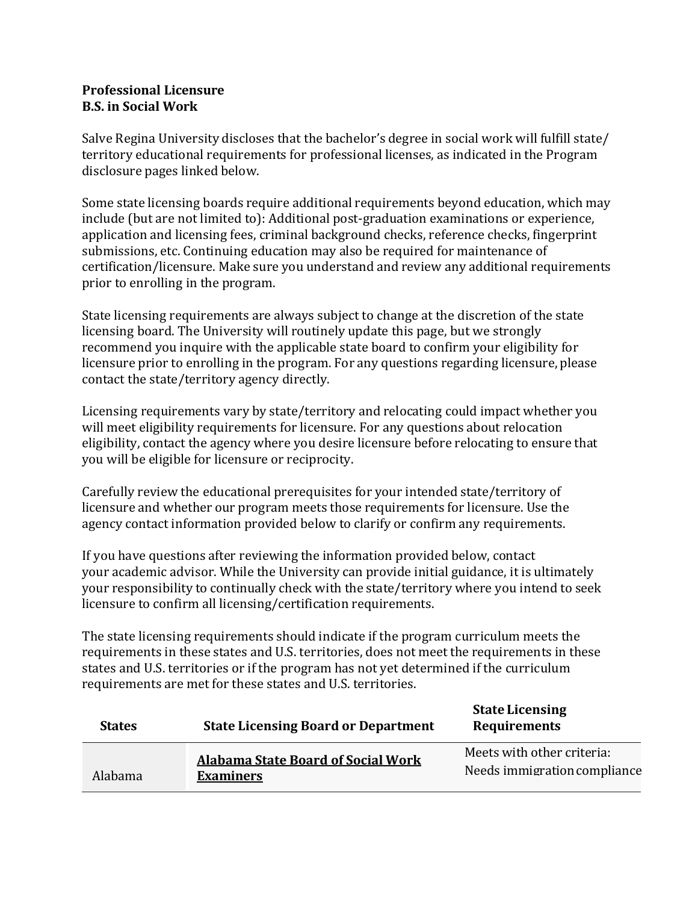## **Professional Licensure B.S. in Social Work**

Salve Regina University discloses that the bachelor's degree in social work will fulfill state/ territory educational requirements for professional licenses, as indicated in the Program disclosure pages linked below.

Some state licensing boards require additional requirements beyond education, which may include (but are not limited to): Additional post-graduation examinations or experience, application and licensing fees, criminal background checks, reference checks, fingerprint submissions, etc. Continuing education may also be required for maintenance of certification/licensure. Make sure you understand and review any additional requirements prior to enrolling in the program.

State licensing requirements are always subject to change at the discretion of the state licensing board. The University will routinely update this page, but we strongly recommend you inquire with the applicable state board to confirm your eligibility for licensure prior to enrolling in the program. For any questions regarding licensure, please contact the state/territory agency directly.

Licensing requirements vary by state/territory and relocating could impact whether you will meet eligibility requirements for licensure. For any questions about relocation eligibility, contact the agency where you desire licensure before relocating to ensure that you will be eligible for licensure or reciprocity.

Carefully review the educational prerequisites for your intended state/territory of licensure and whether our program meets those requirements for licensure. Use the agency contact information provided below to clarify or confirm any requirements.

If you have questions after reviewing the information provided below, contact your academic advisor. While the University can provide initial guidance, it is ultimately your responsibility to continually check with the state/territory where you intend to seek licensure to confirm all licensing/certification requirements.

The state licensing requirements should indicate if the program curriculum meets the requirements in these states and U.S. territories, does not meet the requirements in these states and U.S. territories or if the program has not yet determined if the curriculum requirements are met for these states and U.S. territories.

| <b>States</b> | <b>State Licensing Board or Department</b>                    | <b>State Licensing</b><br><b>Requirements</b>              |
|---------------|---------------------------------------------------------------|------------------------------------------------------------|
| Alabama       | <b>Alabama State Board of Social Work</b><br><b>Examiners</b> | Meets with other criteria:<br>Needs immigration compliance |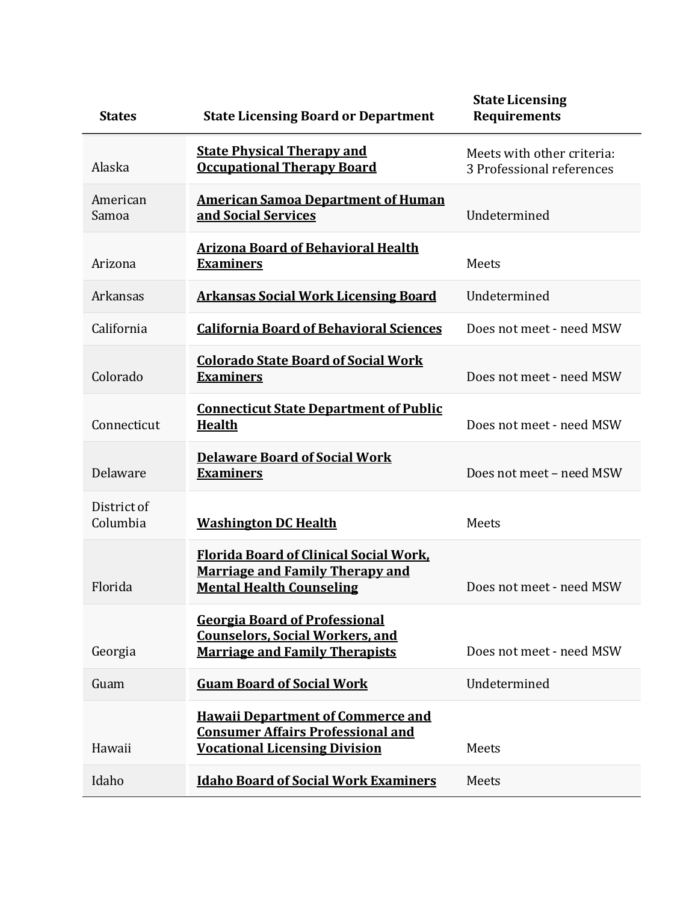| <b>States</b>           | <b>State Licensing Board or Department</b>                                                                                   | <b>State Licensing</b><br><b>Requirements</b>           |
|-------------------------|------------------------------------------------------------------------------------------------------------------------------|---------------------------------------------------------|
| Alaska                  | <b>State Physical Therapy and</b><br><b>Occupational Therapy Board</b>                                                       | Meets with other criteria:<br>3 Professional references |
| American<br>Samoa       | <b>American Samoa Department of Human</b><br>and Social Services                                                             | Undetermined                                            |
| Arizona                 | <b>Arizona Board of Behavioral Health</b><br><b>Examiners</b>                                                                | Meets                                                   |
| Arkansas                | <b>Arkansas Social Work Licensing Board</b>                                                                                  | Undetermined                                            |
| California              | <b>California Board of Behavioral Sciences</b>                                                                               | Does not meet - need MSW                                |
| Colorado                | <b>Colorado State Board of Social Work</b><br><b>Examiners</b>                                                               | Does not meet - need MSW                                |
| Connecticut             | <b>Connecticut State Department of Public</b><br><b>Health</b>                                                               | Does not meet - need MSW                                |
| Delaware                | <b>Delaware Board of Social Work</b><br><b>Examiners</b>                                                                     | Does not meet - need MSW                                |
| District of<br>Columbia | <b>Washington DC Health</b>                                                                                                  | Meets                                                   |
| Florida                 | <b>Florida Board of Clinical Social Work,</b><br><b>Marriage and Family Therapy and</b><br><b>Mental Health Counseling</b>   | Does not meet - need MSW                                |
| Georgia                 | <b>Georgia Board of Professional</b><br><b>Counselors, Social Workers, and</b><br><b>Marriage and Family Therapists</b>      | Does not meet - need MSW                                |
| Guam                    | <b>Guam Board of Social Work</b>                                                                                             | Undetermined                                            |
| Hawaii                  | <b>Hawaii Department of Commerce and</b><br><b>Consumer Affairs Professional and</b><br><b>Vocational Licensing Division</b> | Meets                                                   |
| Idaho                   | <b>Idaho Board of Social Work Examiners</b>                                                                                  | Meets                                                   |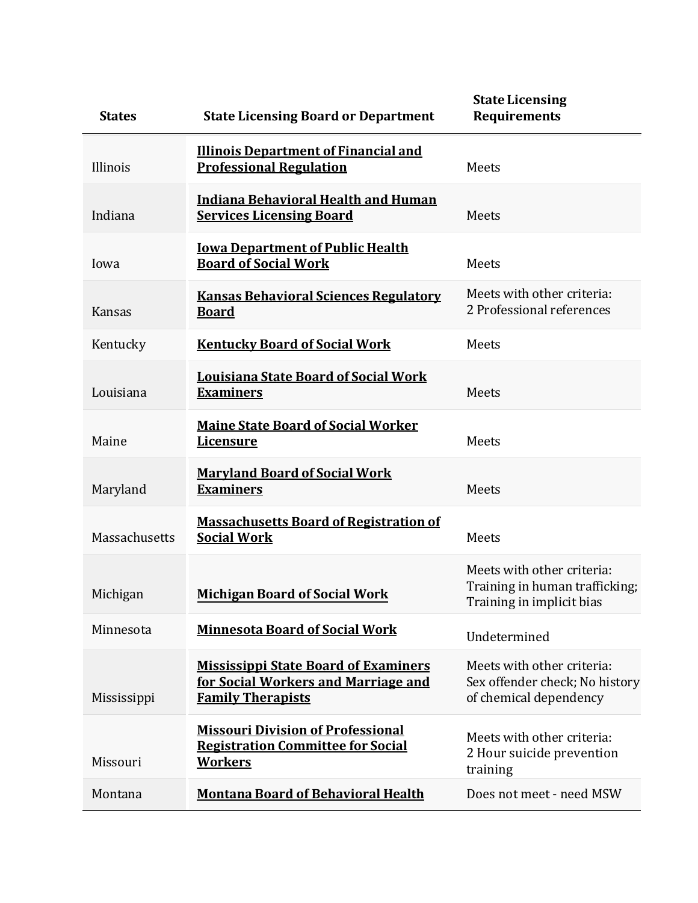| <b>States</b> | <b>State Licensing Board or Department</b>                                                                     | <b>State Licensing</b><br><b>Requirements</b>                                             |
|---------------|----------------------------------------------------------------------------------------------------------------|-------------------------------------------------------------------------------------------|
| Illinois      | <b>Illinois Department of Financial and</b><br><b>Professional Regulation</b>                                  | Meets                                                                                     |
| Indiana       | <b>Indiana Behavioral Health and Human</b><br><b>Services Licensing Board</b>                                  | Meets                                                                                     |
| Iowa          | <b>Iowa Department of Public Health</b><br><b>Board of Social Work</b>                                         | Meets                                                                                     |
| Kansas        | <b>Kansas Behavioral Sciences Regulatory</b><br><b>Board</b>                                                   | Meets with other criteria:<br>2 Professional references                                   |
| Kentucky      | <b>Kentucky Board of Social Work</b>                                                                           | Meets                                                                                     |
| Louisiana     | <b>Louisiana State Board of Social Work</b><br><b>Examiners</b>                                                | Meets                                                                                     |
| Maine         | <b>Maine State Board of Social Worker</b><br><b>Licensure</b>                                                  | Meets                                                                                     |
| Maryland      | <b>Maryland Board of Social Work</b><br><b>Examiners</b>                                                       | Meets                                                                                     |
| Massachusetts | <b>Massachusetts Board of Registration of</b><br><b>Social Work</b>                                            | Meets                                                                                     |
| Michigan      | <b>Michigan Board of Social Work</b>                                                                           | Meets with other criteria:<br>Training in human trafficking;<br>Training in implicit bias |
| Minnesota     | <b>Minnesota Board of Social Work</b>                                                                          | Undetermined                                                                              |
| Mississippi   | <b>Mississippi State Board of Examiners</b><br>for Social Workers and Marriage and<br><b>Family Therapists</b> | Meets with other criteria:<br>Sex offender check; No history<br>of chemical dependency    |
| Missouri      | <b>Missouri Division of Professional</b><br><b>Registration Committee for Social</b><br><b>Workers</b>         | Meets with other criteria:<br>2 Hour suicide prevention<br>training                       |
| Montana       | <b>Montana Board of Behavioral Health</b>                                                                      | Does not meet - need MSW                                                                  |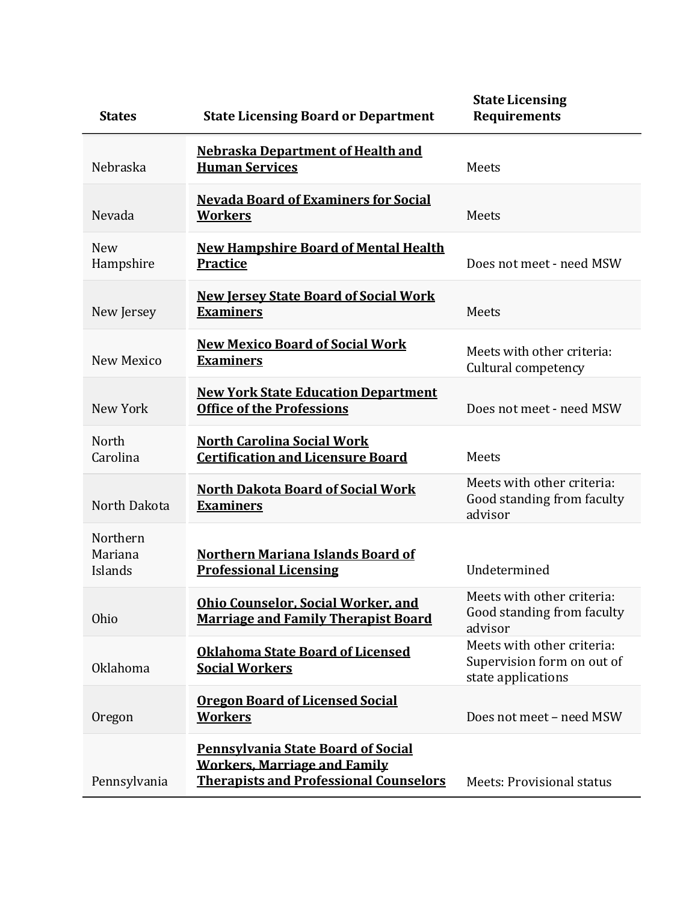| <b>States</b>                  | <b>State Licensing Board or Department</b>                                                                                        | <b>State Licensing</b><br><b>Requirements</b>                                  |
|--------------------------------|-----------------------------------------------------------------------------------------------------------------------------------|--------------------------------------------------------------------------------|
| Nebraska                       | <b>Nebraska Department of Health and</b><br><b>Human Services</b>                                                                 | Meets                                                                          |
| Nevada                         | <b>Nevada Board of Examiners for Social</b><br><b>Workers</b>                                                                     | Meets                                                                          |
| <b>New</b><br>Hampshire        | <b>New Hampshire Board of Mental Health</b><br><b>Practice</b>                                                                    | Does not meet - need MSW                                                       |
| New Jersey                     | <b>New Jersey State Board of Social Work</b><br><b>Examiners</b>                                                                  | Meets                                                                          |
| New Mexico                     | <b>New Mexico Board of Social Work</b><br><b>Examiners</b>                                                                        | Meets with other criteria:<br>Cultural competency                              |
| New York                       | <b>New York State Education Department</b><br><b>Office of the Professions</b>                                                    | Does not meet - need MSW                                                       |
| North<br>Carolina              | <b>North Carolina Social Work</b><br><b>Certification and Licensure Board</b>                                                     | Meets                                                                          |
| North Dakota                   | <b>North Dakota Board of Social Work</b><br><b>Examiners</b>                                                                      | Meets with other criteria:<br>Good standing from faculty<br>advisor            |
| Northern<br>Mariana<br>Islands | <b>Northern Mariana Islands Board of</b><br><b>Professional Licensing</b>                                                         | Undetermined                                                                   |
| Ohio                           | <b>Ohio Counselor, Social Worker, and</b><br><b>Marriage and Family Therapist Board</b>                                           | Meets with other criteria:<br>Good standing from faculty<br>advisor            |
| <b>Oklahoma</b>                | <b>Oklahoma State Board of Licensed</b><br><b>Social Workers</b>                                                                  | Meets with other criteria:<br>Supervision form on out of<br>state applications |
| Oregon                         | <b>Oregon Board of Licensed Social</b><br><b>Workers</b>                                                                          | Does not meet - need MSW                                                       |
| Pennsylvania                   | <b>Pennsylvania State Board of Social</b><br><b>Workers, Marriage and Family</b><br><b>Therapists and Professional Counselors</b> | <b>Meets: Provisional status</b>                                               |